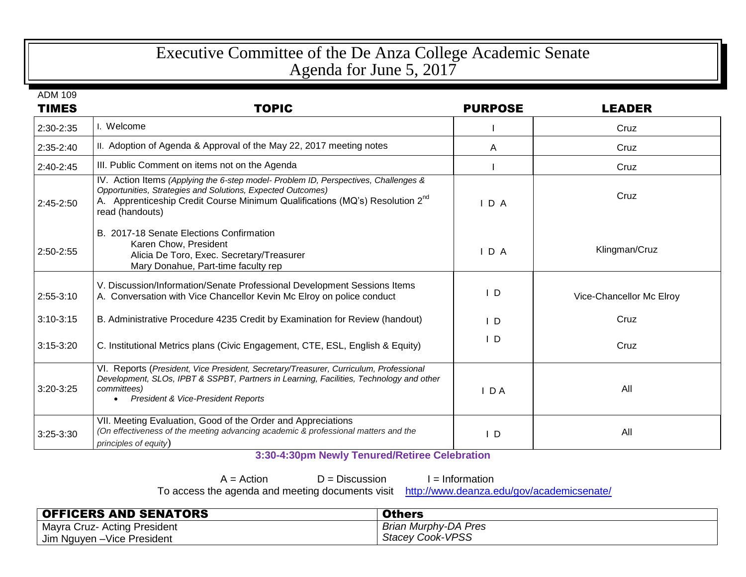## Executive Committee of the De Anza College Academic Senate Agenda for June 5, 2017

| <b>TIMES</b> | <b>TOPIC</b>                                                                                                                                                                                                                                                      | <b>PURPOSE</b> | <b>LEADER</b>            |
|--------------|-------------------------------------------------------------------------------------------------------------------------------------------------------------------------------------------------------------------------------------------------------------------|----------------|--------------------------|
| 2:30-2:35    | I. Welcome                                                                                                                                                                                                                                                        |                | Cruz                     |
| 2:35-2:40    | II. Adoption of Agenda & Approval of the May 22, 2017 meeting notes                                                                                                                                                                                               | A              | Cruz                     |
| $2:40-2:45$  | III. Public Comment on items not on the Agenda                                                                                                                                                                                                                    |                | Cruz                     |
| 2:45-2:50    | IV. Action Items (Applying the 6-step model- Problem ID, Perspectives, Challenges &<br>Opportunities, Strategies and Solutions, Expected Outcomes)<br>A. Apprenticeship Credit Course Minimum Qualifications (MQ's) Resolution 2 <sup>nd</sup><br>read (handouts) | $I$ D A        | Cruz                     |
| 2:50-2:55    | B. 2017-18 Senate Elections Confirmation<br>Karen Chow, President<br>Alicia De Toro, Exec. Secretary/Treasurer<br>Mary Donahue, Part-time faculty rep                                                                                                             | IDA            | Klingman/Cruz            |
| 2:55-3:10    | V. Discussion/Information/Senate Professional Development Sessions Items<br>A. Conversation with Vice Chancellor Kevin Mc Elroy on police conduct                                                                                                                 | $\mathsf{I}$   | Vice-Chancellor Mc Elroy |
| $3:10-3:15$  | B. Administrative Procedure 4235 Credit by Examination for Review (handout)                                                                                                                                                                                       | $\mathsf{I}$ D | Cruz                     |
| $3:15-3:20$  | C. Institutional Metrics plans (Civic Engagement, CTE, ESL, English & Equity)                                                                                                                                                                                     | $\mathsf{I}$ D | Cruz                     |
| $3:20-3:25$  | VI. Reports (President, Vice President, Secretary/Treasurer, Curriculum, Professional<br>Development, SLOs, IPBT & SSPBT, Partners in Learning, Facilities, Technology and other<br>committees)<br>President & Vice-President Reports                             | $I$ DA         | All                      |
| 3:25-3:30    | VII. Meeting Evaluation, Good of the Order and Appreciations<br>(On effectiveness of the meeting advancing academic & professional matters and the<br>principles of equity)                                                                                       | $\mathsf{L}$   | All                      |

**3:30-4:30pm Newly Tenured/Retiree Celebration**

 $A = Action$  D = Discussion I = Information

To access the agenda and meeting documents of

| uments visit http://www.deanza.edu/gov/academicsenate/ |
|--------------------------------------------------------|
|                                                        |

| <b>OFFICERS AND SENATORS</b> | <b>Others</b>           |
|------------------------------|-------------------------|
| Mayra Cruz- Acting President | Brian Murphy-DA Pres    |
| Jim Nguyen - Vice President  | <b>Stacey Cook-VPSS</b> |